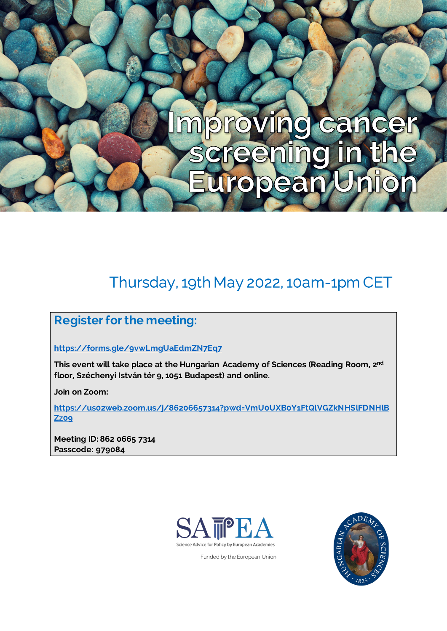#### $70$ Ind mp can Ce Unio uropea

# Thursday, 19th May 2022, 10am-1pm CET

#### **Register forthe meeting:**

#### **<https://forms.gle/9vwLmgUaEdmZN7Eq7>**

**This event will take place at the Hungarian Academy of Sciences (Reading Room, 2nd floor, Széchenyi István tér 9, 1051 Budapest) and online.**

**Join on Zoom:** 

**[https://us02web.zoom.us/j/86206657314?pwd=VmU0UXB0Y1FtQlVGZkNHSlFDNHlB](https://us02web.zoom.us/j/86206657314?pwd=VmU0UXB0Y1FtQlVGZkNHSlFDNHlBZz09) [Zz09](https://us02web.zoom.us/j/86206657314?pwd=VmU0UXB0Y1FtQlVGZkNHSlFDNHlBZz09)**

**Meeting ID: 862 0665 7314 Passcode: 979084**



Funded by the European Union.